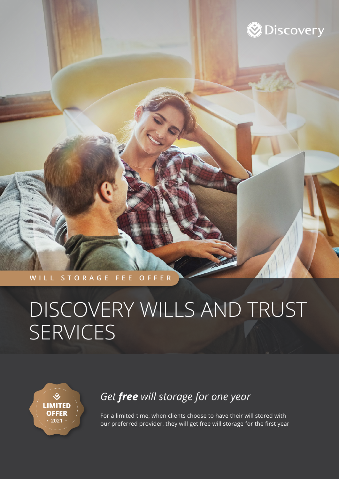

#### **WILL STORAGE FEE OFFER**

# DISCOVERY WILLS AND TRUST SERVICES

 $\check{\mathbf{v}}$ **LIMITED OFFER 2021**

### *Get free will storage for one year*

For a limited time, when clients choose to have their will stored with our preferred provider, they will get free will storage for the first year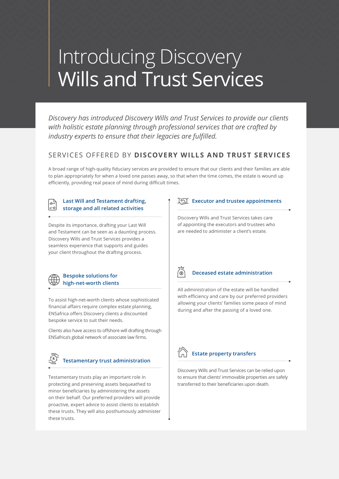## Introducing Discovery Wills and Trust Services

*Discovery has introduced Discovery Wills and Trust Services to provide our clients with holistic estate planning through professional services that are crafted by industry experts to ensure that their legacies are fulfilled.*

### SERVICES OFFERED BY **DISCOVERY WILLS AND TRUST SERVICES**

A broad range of high-quality fiduciary services are provided to ensure that our clients and their families are able to plan appropriately for when a loved one passes away, so that when the time comes, the estate is wound up efficiently, providing real peace of mind during difficult times.

#### **Last Will and Testament drafting, storage and all related activities**

Despite its importance, drafting your Last Will and Testament can be seen as a daunting process. Discovery Wills and Trust Services provides a seamless experience that supports and guides your client throughout the drafting process.



To assist high-net-worth clients whose sophisticated financial affairs require complex estate planning, ENSafrica offers Discovery clients a discounted bespoke service to suit their needs.

Clients also have access to offshore will drafting through ENSafrica's global network of associate law firms.

### **Testamentary trust administration**

Testamentary trusts play an important role in protecting and preserving assets bequeathed to minor beneficiaries by administering the assets on their behalf. Our preferred providers will provide proactive, expert advice to assist clients to establish these trusts. They will also posthumously administer these trusts.

#### **Executor and trustee appointments**

Discovery Wills and Trust Services takes care of appointing the executors and trustees who are needed to administer a client's estate.

(ல

#### **Deceased estate administration**

All administration of the estate will be handled with efficiency and care by our preferred providers allowing your clients' families some peace of mind during and after the passing of a loved one.



#### **Estate property transfers**

Discovery Wills and Trust Services can be relied upon to ensure that clients' immovable properties are safely transferred to their beneficiaries upon death.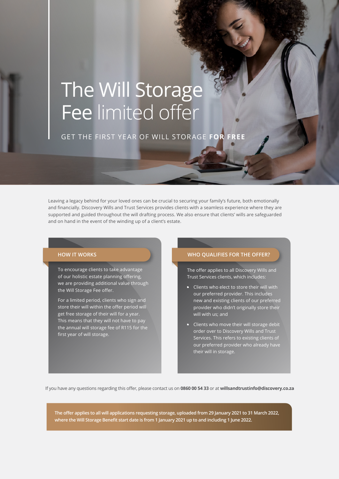# The Will Storage Fee limited offer

GET THE FIRST YEAR OF WILL STORAGE **FOR FREE**

Leaving a legacy behind for your loved ones can be crucial to securing your family's future, both emotionally and financially. Discovery Wills and Trust Services provides clients with a seamless experience where they are supported and guided throughout the will drafting process. We also ensure that clients' wills are safeguarded and on hand in the event of the winding up of a client's estate.

To encourage clients to take advantage of our holistic estate planning offering, we are providing additional value through the Will Storage Fee offer.

For a limited period, clients who sign and store their will within the offer period will get free storage of their will for a year. This means that they will not have to pay the annual will storage fee of R115 for the first year of will storage.

#### **HOW IT WORKS WHO QUALIFIES FOR THE OFFER?**

The offer applies to all Discovery Wills and Trust Services clients, which includes:

- **Clients who elect to store their will with** our preferred provider. This includes new and existing clients of our preferred provider who didn't originally store their will with us; and
- Clients who move their will storage debit order over to Discovery Wills and Trust Services. This refers to existing clients of our preferred provider who already have their will in storage.

If you have any questions regarding this offer, please contact us on **0860 00 54 33** or at **willsandtrustinfo@discovery.co.za** 

**The offer applies to all will applications requesting storage, uploaded from 29 January 2021 to 31 March 2022, where the Will Storage Benefit start date is from 1 January 2021 up to and including 1 June 2022.**